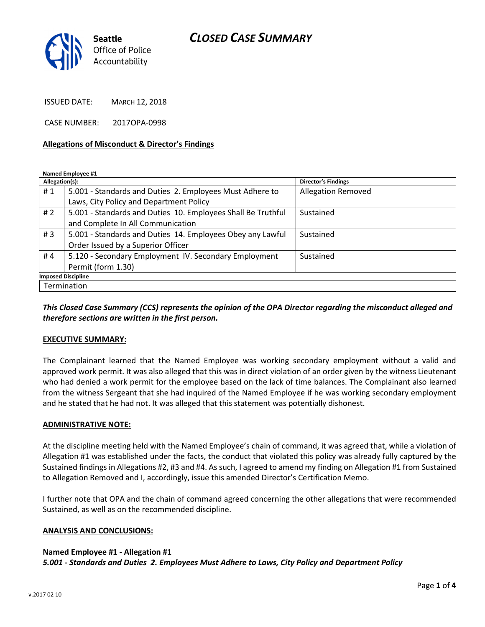# CLOSED CASE SUMMARY



ISSUED DATE: MARCH 12, 2018

CASE NUMBER: 2017OPA-0998

### Allegations of Misconduct & Director's Findings

Named Employee #1

| Allegation(s):            |                                                              | <b>Director's Findings</b> |
|---------------------------|--------------------------------------------------------------|----------------------------|
| #1                        | 5.001 - Standards and Duties 2. Employees Must Adhere to     | <b>Allegation Removed</b>  |
|                           | Laws, City Policy and Department Policy                      |                            |
| #2                        | 5.001 - Standards and Duties 10. Employees Shall Be Truthful | Sustained                  |
|                           | and Complete In All Communication                            |                            |
| #3                        | 5.001 - Standards and Duties 14. Employees Obey any Lawful   | Sustained                  |
|                           | Order Issued by a Superior Officer                           |                            |
| #4                        | 5.120 - Secondary Employment IV. Secondary Employment        | Sustained                  |
|                           | Permit (form 1.30)                                           |                            |
| <b>Imposed Discipline</b> |                                                              |                            |
| Termination               |                                                              |                            |

# This Closed Case Summary (CCS) represents the opinion of the OPA Director regarding the misconduct alleged and therefore sections are written in the first person.

### EXECUTIVE SUMMARY:

The Complainant learned that the Named Employee was working secondary employment without a valid and approved work permit. It was also alleged that this was in direct violation of an order given by the witness Lieutenant who had denied a work permit for the employee based on the lack of time balances. The Complainant also learned from the witness Sergeant that she had inquired of the Named Employee if he was working secondary employment and he stated that he had not. It was alleged that this statement was potentially dishonest.

### ADMINISTRATIVE NOTE:

At the discipline meeting held with the Named Employee's chain of command, it was agreed that, while a violation of Allegation #1 was established under the facts, the conduct that violated this policy was already fully captured by the Sustained findings in Allegations #2, #3 and #4. As such, I agreed to amend my finding on Allegation #1 from Sustained to Allegation Removed and I, accordingly, issue this amended Director's Certification Memo.

I further note that OPA and the chain of command agreed concerning the other allegations that were recommended Sustained, as well as on the recommended discipline.

### ANALYSIS AND CONCLUSIONS:

### Named Employee #1 - Allegation #1

5.001 - Standards and Duties 2. Employees Must Adhere to Laws, City Policy and Department Policy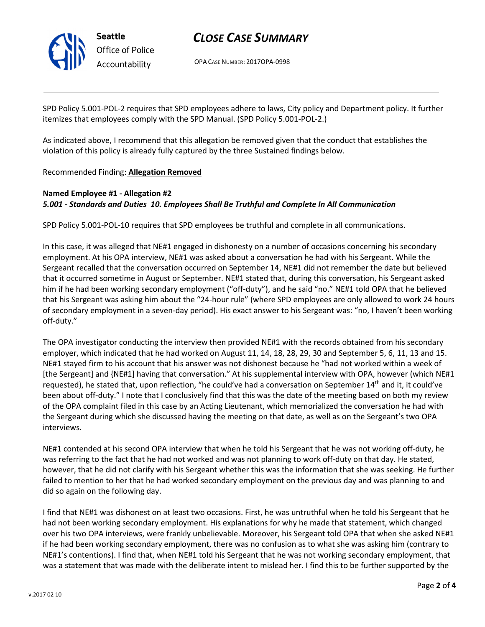

# CLOSE CASE SUMMARY

OPA CASE NUMBER: 2017OPA-0998

SPD Policy 5.001-POL-2 requires that SPD employees adhere to laws, City policy and Department policy. It further itemizes that employees comply with the SPD Manual. (SPD Policy 5.001-POL-2.)

As indicated above, I recommend that this allegation be removed given that the conduct that establishes the violation of this policy is already fully captured by the three Sustained findings below.

Recommended Finding: Allegation Removed

# Named Employee #1 - Allegation #2 5.001 - Standards and Duties 10. Employees Shall Be Truthful and Complete In All Communication

SPD Policy 5.001-POL-10 requires that SPD employees be truthful and complete in all communications.

In this case, it was alleged that NE#1 engaged in dishonesty on a number of occasions concerning his secondary employment. At his OPA interview, NE#1 was asked about a conversation he had with his Sergeant. While the Sergeant recalled that the conversation occurred on September 14, NE#1 did not remember the date but believed that it occurred sometime in August or September. NE#1 stated that, during this conversation, his Sergeant asked him if he had been working secondary employment ("off-duty"), and he said "no." NE#1 told OPA that he believed that his Sergeant was asking him about the "24-hour rule" (where SPD employees are only allowed to work 24 hours of secondary employment in a seven-day period). His exact answer to his Sergeant was: "no, I haven't been working off-duty."

The OPA investigator conducting the interview then provided NE#1 with the records obtained from his secondary employer, which indicated that he had worked on August 11, 14, 18, 28, 29, 30 and September 5, 6, 11, 13 and 15. NE#1 stayed firm to his account that his answer was not dishonest because he "had not worked within a week of [the Sergeant] and {NE#1] having that conversation." At his supplemental interview with OPA, however (which NE#1 requested), he stated that, upon reflection, "he could've had a conversation on September  $14<sup>th</sup>$  and it, it could've been about off-duty." I note that I conclusively find that this was the date of the meeting based on both my review of the OPA complaint filed in this case by an Acting Lieutenant, which memorialized the conversation he had with the Sergeant during which she discussed having the meeting on that date, as well as on the Sergeant's two OPA interviews.

NE#1 contended at his second OPA interview that when he told his Sergeant that he was not working off-duty, he was referring to the fact that he had not worked and was not planning to work off-duty on that day. He stated, however, that he did not clarify with his Sergeant whether this was the information that she was seeking. He further failed to mention to her that he had worked secondary employment on the previous day and was planning to and did so again on the following day.

I find that NE#1 was dishonest on at least two occasions. First, he was untruthful when he told his Sergeant that he had not been working secondary employment. His explanations for why he made that statement, which changed over his two OPA interviews, were frankly unbelievable. Moreover, his Sergeant told OPA that when she asked NE#1 if he had been working secondary employment, there was no confusion as to what she was asking him (contrary to NE#1's contentions). I find that, when NE#1 told his Sergeant that he was not working secondary employment, that was a statement that was made with the deliberate intent to mislead her. I find this to be further supported by the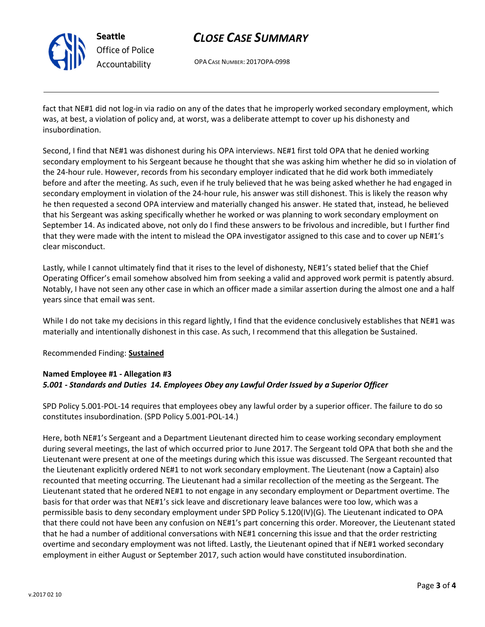

Seattle Office of Police Accountability

# CLOSE CASE SUMMARY

OPA CASE NUMBER: 2017OPA-0998

fact that NE#1 did not log-in via radio on any of the dates that he improperly worked secondary employment, which was, at best, a violation of policy and, at worst, was a deliberate attempt to cover up his dishonesty and insubordination.

Second, I find that NE#1 was dishonest during his OPA interviews. NE#1 first told OPA that he denied working secondary employment to his Sergeant because he thought that she was asking him whether he did so in violation of the 24-hour rule. However, records from his secondary employer indicated that he did work both immediately before and after the meeting. As such, even if he truly believed that he was being asked whether he had engaged in secondary employment in violation of the 24-hour rule, his answer was still dishonest. This is likely the reason why he then requested a second OPA interview and materially changed his answer. He stated that, instead, he believed that his Sergeant was asking specifically whether he worked or was planning to work secondary employment on September 14. As indicated above, not only do I find these answers to be frivolous and incredible, but I further find that they were made with the intent to mislead the OPA investigator assigned to this case and to cover up NE#1's clear misconduct.

Lastly, while I cannot ultimately find that it rises to the level of dishonesty, NE#1's stated belief that the Chief Operating Officer's email somehow absolved him from seeking a valid and approved work permit is patently absurd. Notably, I have not seen any other case in which an officer made a similar assertion during the almost one and a half years since that email was sent.

While I do not take my decisions in this regard lightly, I find that the evidence conclusively establishes that NE#1 was materially and intentionally dishonest in this case. As such, I recommend that this allegation be Sustained.

# Recommended Finding: Sustained

# Named Employee #1 - Allegation #3 5.001 - Standards and Duties 14. Employees Obey any Lawful Order Issued by a Superior Officer

SPD Policy 5.001-POL-14 requires that employees obey any lawful order by a superior officer. The failure to do so constitutes insubordination. (SPD Policy 5.001-POL-14.)

Here, both NE#1's Sergeant and a Department Lieutenant directed him to cease working secondary employment during several meetings, the last of which occurred prior to June 2017. The Sergeant told OPA that both she and the Lieutenant were present at one of the meetings during which this issue was discussed. The Sergeant recounted that the Lieutenant explicitly ordered NE#1 to not work secondary employment. The Lieutenant (now a Captain) also recounted that meeting occurring. The Lieutenant had a similar recollection of the meeting as the Sergeant. The Lieutenant stated that he ordered NE#1 to not engage in any secondary employment or Department overtime. The basis for that order was that NE#1's sick leave and discretionary leave balances were too low, which was a permissible basis to deny secondary employment under SPD Policy 5.120(IV)(G). The Lieutenant indicated to OPA that there could not have been any confusion on NE#1's part concerning this order. Moreover, the Lieutenant stated that he had a number of additional conversations with NE#1 concerning this issue and that the order restricting overtime and secondary employment was not lifted. Lastly, the Lieutenant opined that if NE#1 worked secondary employment in either August or September 2017, such action would have constituted insubordination.